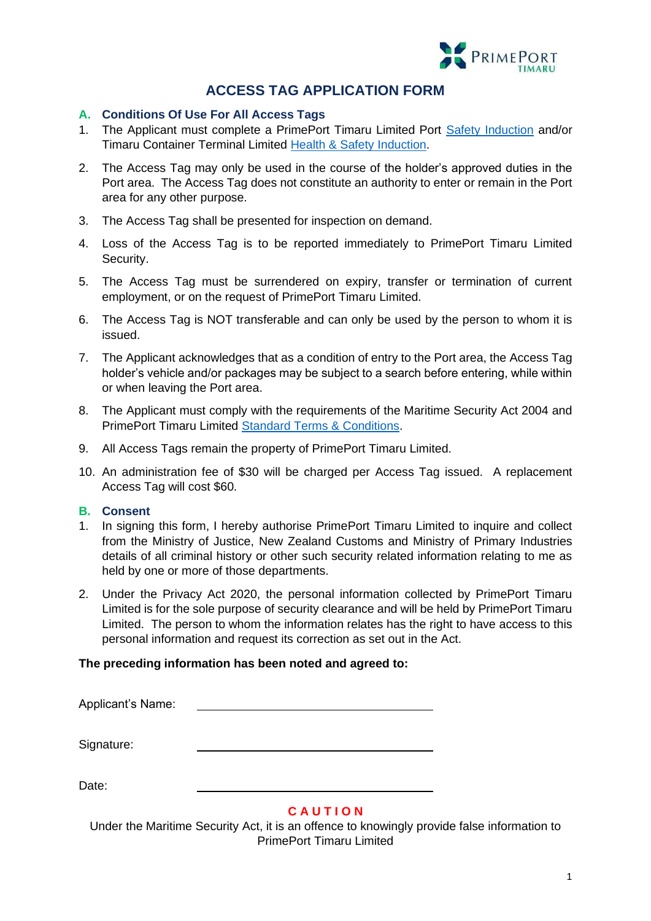

# **ACCESS TAG APPLICATION FORM**

## **A. Conditions Of Use For All Access Tags**

- 1. The Applicant must complete a PrimePort Timaru Limited Port [Safety Induction](https://www.primeport.co.nz/induction) and/or Timaru Container Terminal Limited [Health & Safety Induction.](https://www.timarucontainerterminal.co.nz/timaru/health-safety/)
- 2. The Access Tag may only be used in the course of the holder's approved duties in the Port area. The Access Tag does not constitute an authority to enter or remain in the Port area for any other purpose.
- 3. The Access Tag shall be presented for inspection on demand.
- 4. Loss of the Access Tag is to be reported immediately to PrimePort Timaru Limited Security.
- 5. The Access Tag must be surrendered on expiry, transfer or termination of current employment, or on the request of PrimePort Timaru Limited.
- 6. The Access Tag is NOT transferable and can only be used by the person to whom it is issued.
- 7. The Applicant acknowledges that as a condition of entry to the Port area, the Access Tag holder's vehicle and/or packages may be subject to a search before entering, while within or when leaving the Port area.
- 8. The Applicant must comply with the requirements of the Maritime Security Act 2004 and PrimePort Timaru Limited [Standard Terms & Conditions.](https://www.primeport.co.nz/__data/assets/pdf_file/0004/49738/Standard-Terms-and-Conditions.pdf)
- 9. All Access Tags remain the property of PrimePort Timaru Limited.
- 10. An administration fee of \$30 will be charged per Access Tag issued. A replacement Access Tag will cost \$60.

### **B. Consent**

- 1. In signing this form, I hereby authorise PrimePort Timaru Limited to inquire and collect from the Ministry of Justice, New Zealand Customs and Ministry of Primary Industries details of all criminal history or other such security related information relating to me as held by one or more of those departments.
- 2. Under the Privacy Act 2020, the personal information collected by PrimePort Timaru Limited is for the sole purpose of security clearance and will be held by PrimePort Timaru Limited. The person to whom the information relates has the right to have access to this personal information and request its correction as set out in the Act.

#### **The preceding information has been noted and agreed to:**

Applicant's Name:

Signature:

Date:

# **C A U T I O N**

Under the Maritime Security Act, it is an offence to knowingly provide false information to PrimePort Timaru Limited